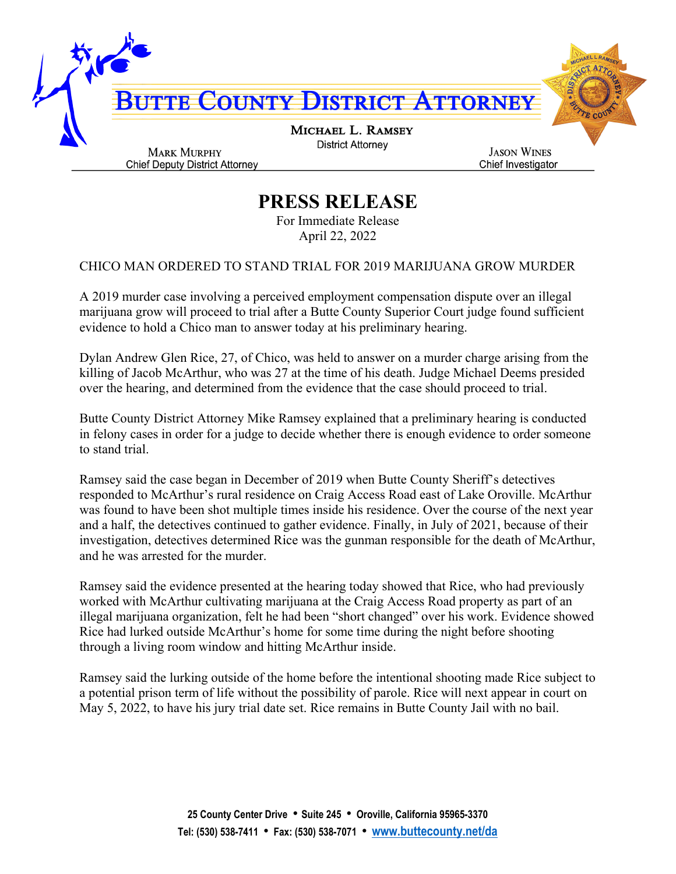

## **PRESS RELEASE**

For Immediate Release April 22, 2022

## CHICO MAN ORDERED TO STAND TRIAL FOR 2019 MARIJUANA GROW MURDER

A 2019 murder case involving a perceived employment compensation dispute over an illegal marijuana grow will proceed to trial after a Butte County Superior Court judge found sufficient evidence to hold a Chico man to answer today at his preliminary hearing.

Dylan Andrew Glen Rice, 27, of Chico, was held to answer on a murder charge arising from the killing of Jacob McArthur, who was 27 at the time of his death. Judge Michael Deems presided over the hearing, and determined from the evidence that the case should proceed to trial.

Butte County District Attorney Mike Ramsey explained that a preliminary hearing is conducted in felony cases in order for a judge to decide whether there is enough evidence to order someone to stand trial.

Ramsey said the case began in December of 2019 when Butte County Sheriff's detectives responded to McArthur's rural residence on Craig Access Road east of Lake Oroville. McArthur was found to have been shot multiple times inside his residence. Over the course of the next year and a half, the detectives continued to gather evidence. Finally, in July of 2021, because of their investigation, detectives determined Rice was the gunman responsible for the death of McArthur, and he was arrested for the murder.

Ramsey said the evidence presented at the hearing today showed that Rice, who had previously worked with McArthur cultivating marijuana at the Craig Access Road property as part of an illegal marijuana organization, felt he had been "short changed" over his work. Evidence showed Rice had lurked outside McArthur's home for some time during the night before shooting through a living room window and hitting McArthur inside.

Ramsey said the lurking outside of the home before the intentional shooting made Rice subject to a potential prison term of life without the possibility of parole. Rice will next appear in court on May 5, 2022, to have his jury trial date set. Rice remains in Butte County Jail with no bail.